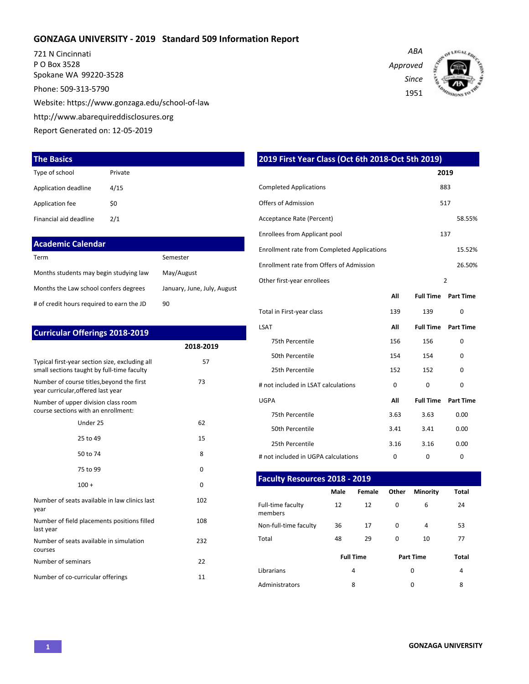#### **GONZAGA UNIVERSITY - 2019 Standard 509 Information Report**

721 N Cincinnati P O Box 3528 Spokane WA 99220-3528 Phone: 509-313-5790 Website: https://www.gonzaga.edu/school-of-law

http://www.abarequireddisclosures.org

Report Generated on: 12-05-2019

#### **The Basics**

| Type of school         | Private |
|------------------------|---------|
| Application deadline   | 4/15    |
| Application fee        | \$0     |
| Financial aid deadline | 2/1     |

# **Academic Calendar**

| Term                                      | Semester                    |
|-------------------------------------------|-----------------------------|
| Months students may begin studying law    | May/August                  |
| Months the Law school confers degrees     | January, June, July, August |
| # of credit hours required to earn the JD | 90                          |

| <b>Curricular Offerings 2018-2019</b>                                                        |           |
|----------------------------------------------------------------------------------------------|-----------|
|                                                                                              | 2018-2019 |
| Typical first-year section size, excluding all<br>small sections taught by full-time faculty | 57        |
| Number of course titles, beyond the first<br>year curricular, offered last year              | 73        |
| Number of upper division class room<br>course sections with an enrollment:                   |           |
| Under 25                                                                                     | 62        |
| 25 to 49                                                                                     | 15        |
| 50 to 74                                                                                     | 8         |
| 75 to 99                                                                                     | 0         |
| $100 +$                                                                                      | $\Omega$  |
| Number of seats available in law clinics last<br>year                                        | 102       |
| Number of field placements positions filled<br>last year                                     | 108       |
| Number of seats available in simulation<br>courses                                           | 232       |
| Number of seminars                                                                           | 22        |
| Number of co-curricular offerings                                                            | 11        |

| 2019 First Year Class (Oct 6th 2018-Oct 5th 2019)  |          |                  |                  |  |  |  |  |  |  |  |  |
|----------------------------------------------------|----------|------------------|------------------|--|--|--|--|--|--|--|--|
|                                                    |          |                  | 2019             |  |  |  |  |  |  |  |  |
| <b>Completed Applications</b>                      |          |                  | 883              |  |  |  |  |  |  |  |  |
| <b>Offers of Admission</b>                         |          |                  | 517              |  |  |  |  |  |  |  |  |
| Acceptance Rate (Percent)                          |          |                  | 58.55%           |  |  |  |  |  |  |  |  |
| Enrollees from Applicant pool                      |          |                  | 137              |  |  |  |  |  |  |  |  |
| <b>Enrollment rate from Completed Applications</b> |          |                  | 15.52%           |  |  |  |  |  |  |  |  |
| Enrollment rate from Offers of Admission           |          | 26.50%           |                  |  |  |  |  |  |  |  |  |
| Other first-year enrollees                         |          | $\overline{2}$   |                  |  |  |  |  |  |  |  |  |
|                                                    | All      | <b>Full Time</b> | <b>Part Time</b> |  |  |  |  |  |  |  |  |
| Total in First-year class                          | 139      | 139              | $\Omega$         |  |  |  |  |  |  |  |  |
| <b>LSAT</b>                                        | All      | <b>Full Time</b> | <b>Part Time</b> |  |  |  |  |  |  |  |  |
| 75th Percentile                                    | 156      | 156              | 0                |  |  |  |  |  |  |  |  |
| 50th Percentile                                    | 154      | 154              | 0                |  |  |  |  |  |  |  |  |
| 25th Percentile                                    | 152      | 152              | 0                |  |  |  |  |  |  |  |  |
| # not included in LSAT calculations                | $\Omega$ | $\Omega$         | 0                |  |  |  |  |  |  |  |  |
| <b>UGPA</b>                                        | All      | <b>Full Time</b> | <b>Part Time</b> |  |  |  |  |  |  |  |  |
| 75th Percentile                                    | 3.63     | 3.63             | 0.00             |  |  |  |  |  |  |  |  |
| 50th Percentile                                    | 3.41     | 3.41             | 0.00             |  |  |  |  |  |  |  |  |
| 25th Percentile                                    | 3.16     | 3.16             | 0.00             |  |  |  |  |  |  |  |  |
| # not included in UGPA calculations                | 0        | 0                | 0                |  |  |  |  |  |  |  |  |

#### **Faculty Resources 2018 - 2019**

|                              | <b>Male</b> | Female           | Other    | <b>Minority</b>  | <b>Total</b> |  |
|------------------------------|-------------|------------------|----------|------------------|--------------|--|
| Full-time faculty<br>members | 12          | 12               | $\Omega$ | 6                | 24           |  |
| Non-full-time faculty        | 36          | 17               | 0        | 4                | 53           |  |
| Total                        | 48          | 29               | 0        | 10               | 77           |  |
|                              |             | <b>Full Time</b> |          | <b>Part Time</b> | <b>Total</b> |  |
| Librarians                   |             | 4                |          | 0                | 4            |  |
| Administrators               |             | 8                |          | 0                | 8            |  |

*Approved Since*

*ABA*

1951

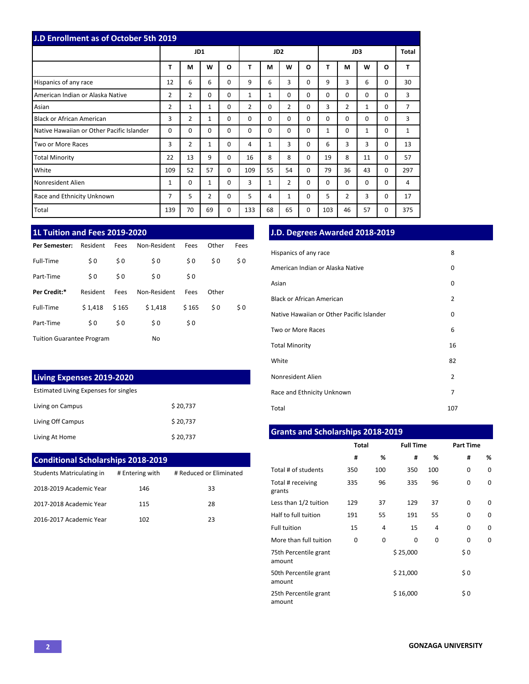| J.D Enrollment as of October 5th 2019     |                |                |              |          |          |                 |              |          |              |                |              |          |       |
|-------------------------------------------|----------------|----------------|--------------|----------|----------|-----------------|--------------|----------|--------------|----------------|--------------|----------|-------|
|                                           |                | JD1            |              |          |          | JD <sub>2</sub> |              |          |              |                | JD3          |          | Total |
|                                           | т              | м              | W            | O        | т        | М               | W            | O        | T            | М              | W            | O        | Т     |
| Hispanics of any race                     | 12             | 6              | 6            | $\Omega$ | 9        | 6               | 3            | $\Omega$ | 9            | 3              | 6            | $\Omega$ | 30    |
| American Indian or Alaska Native          | $\overline{2}$ | 2              | 0            | 0        | 1        | 1               | $\Omega$     | $\Omega$ | 0            | $\Omega$       | $\Omega$     | 0        | 3     |
| Asian                                     | $\overline{2}$ | 1              | 1            | $\Omega$ | 2        | 0               | 2            | $\Omega$ | 3            | $\overline{2}$ | $\mathbf{1}$ | $\Omega$ | 7     |
| <b>Black or African American</b>          | 3              | $\overline{2}$ | $\mathbf{1}$ | $\Omega$ | $\Omega$ | 0               | $\Omega$     | $\Omega$ | $\Omega$     | $\Omega$       | $\Omega$     | $\Omega$ | 3     |
| Native Hawaiian or Other Pacific Islander | $\Omega$       | $\Omega$       | $\Omega$     | $\Omega$ | $\Omega$ | 0               | $\Omega$     | $\Omega$ | $\mathbf{1}$ | $\Omega$       | $\mathbf{1}$ | $\Omega$ | 1     |
| Two or More Races                         | 3              | 2              | 1            | $\Omega$ | 4        | 1               | 3            | $\Omega$ | 6            | 3              | 3            | $\Omega$ | 13    |
| <b>Total Minority</b>                     | 22             | 13             | 9            | $\Omega$ | 16       | 8               | 8            | $\Omega$ | 19           | 8              | 11           | $\Omega$ | 57    |
| White                                     | 109            | 52             | 57           | $\Omega$ | 109      | 55              | 54           | $\Omega$ | 79           | 36             | 43           | $\Omega$ | 297   |
| Nonresident Alien                         | 1              | 0              | 1            | 0        | 3        | 1               | 2            | $\Omega$ | 0            | $\Omega$       | $\Omega$     | $\Omega$ | 4     |
| Race and Ethnicity Unknown                | $\overline{7}$ | 5              | 2            | $\Omega$ | 5        | 4               | $\mathbf{1}$ | $\Omega$ | 5            | $\overline{2}$ | 3            | $\Omega$ | 17    |
| Total                                     | 139            | 70             | 69           | 0        | 133      | 68              | 65           | $\Omega$ | 103          | 46             | 57           | 0        | 375   |

# **1L Tuition and Fees 2019-2020**

| Per Semester:                    | Resident | Fees  | Non-Resident | Fees  | Other | Fees |
|----------------------------------|----------|-------|--------------|-------|-------|------|
| Full-Time                        | \$0      | \$0   | \$0          | \$0   | \$0   | \$0  |
| Part-Time                        | \$0      | \$0   | \$0          | \$0   |       |      |
| Per Credit:*                     | Resident | Fees  | Non-Resident | Fees  | Other |      |
| Full-Time                        | \$1.418  | \$165 | \$1,418      | \$165 | \$0   | \$0  |
| Part-Time                        | \$0      | \$0   | \$0          | \$0   |       |      |
| <b>Tuition Guarantee Program</b> |          |       | No           |       |       |      |

# **Living Expenses 2019-2020**

| Estimated Living Expenses for singles |          |  |  |  |  |  |  |
|---------------------------------------|----------|--|--|--|--|--|--|
| Living on Campus                      | \$20,737 |  |  |  |  |  |  |
| Living Off Campus                     | \$20,737 |  |  |  |  |  |  |
| Living At Home                        | \$20,737 |  |  |  |  |  |  |

# **Conditional Scholarships 2018-2019**

| Students Matriculating in | # Entering with | # Reduced or Eliminated |
|---------------------------|-----------------|-------------------------|
| 2018-2019 Academic Year   | 146             | 33                      |
| 2017-2018 Academic Year   | 115             | 28                      |
| 2016-2017 Academic Year   | 102             | つっ                      |

# **J.D. Degrees Awarded 2018-2019**

| Hispanics of any race                     | 8   |
|-------------------------------------------|-----|
| American Indian or Alaska Native          | 0   |
| Asian                                     | 0   |
| Black or African American                 | 2   |
| Native Hawaiian or Other Pacific Islander | 0   |
| Two or More Races                         | 6   |
| <b>Total Minority</b>                     | 16  |
| White                                     | 82  |
| Nonresident Alien                         | 2   |
| Race and Ethnicity Unknown                | 7   |
| Total                                     | 107 |

# **Grants and Scholarships 2018-2019**

|                                 | <b>Total</b> |     | <b>Full Time</b> |     | <b>Part Time</b> |   |  |  |
|---------------------------------|--------------|-----|------------------|-----|------------------|---|--|--|
|                                 | #            | %   | #                | %   | #                | % |  |  |
| Total # of students             | 350          | 100 | 350              | 100 | 0                | 0 |  |  |
| Total # receiving<br>grants     | 335          | 96  | 335              | 96  | 0                | 0 |  |  |
| Less than 1/2 tuition           | 129          | 37  | 129              | 37  | 0                | 0 |  |  |
| Half to full tuition            | 191          | 55  | 191              | 55  | 0                | 0 |  |  |
| <b>Full tuition</b>             | 15           | 4   | 15               | 4   | 0                | 0 |  |  |
| More than full tuition          | 0            | 0   | 0                | 0   | 0                | 0 |  |  |
| 75th Percentile grant<br>amount |              |     | \$25,000         |     | \$0              |   |  |  |
| 50th Percentile grant<br>amount |              |     | \$21,000         |     | \$0              |   |  |  |
| 25th Percentile grant<br>amount |              |     | \$16,000         |     | \$0              |   |  |  |